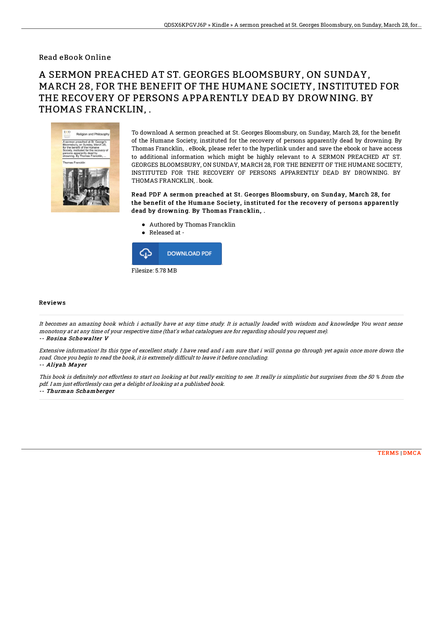### Read eBook Online

# A SERMON PREACHED AT ST. GEORGES BLOOMSBURY, ON SUNDAY, MARCH 28, FOR THE BENEFIT OF THE HUMANE SOCIETY, INSTITUTED FOR THE RECOVERY OF PERSONS APPARENTLY DEAD BY DROWNING. BY THOMAS FRANCKLIN, .



To download A sermon preached at St. Georges Bloomsbury, on Sunday, March 28, for the benefit of the Humane Society, instituted for the recovery of persons apparently dead by drowning. By Thomas Francklin, . eBook, please refer to the hyperlink under and save the ebook or have access to additional information which might be highly relevant to A SERMON PREACHED AT ST. GEORGES BLOOMSBURY, ON SUNDAY, MARCH 28, FOR THE BENEFIT OF THE HUMANE SOCIETY, INSTITUTED FOR THE RECOVERY OF PERSONS APPARENTLY DEAD BY DROWNING. BY THOMAS FRANCKLIN, . book.

#### Read PDF A sermon preached at St. Georges Bloomsbury, on Sunday, March 28, for the benefit of the Humane Society, instituted for the recovery of persons apparently dead by drowning. By Thomas Francklin, .

- Authored by Thomas Francklin
- Released at -



#### Reviews

It becomes an amazing book which i actually have at any time study. It is actually loaded with wisdom and knowledge You wont sense monotony at at any time of your respective time (that's what catalogues are for regarding should you request me). -- Rosina Schowalter V

Extensive information! Its this type of excellent study. I have read and i am sure that i will gonna go through yet again once more down the road. Once you begin to read the book, it is extremely difficult to leave it before concluding. -- Aliyah Mayer

This book is definitely not effortless to start on looking at but really exciting to see. It really is simplistic but surprises from the 50 % from the pdf. I am just effortlessly can get <sup>a</sup> delight of looking at <sup>a</sup> published book. -- Thurman Schamberger